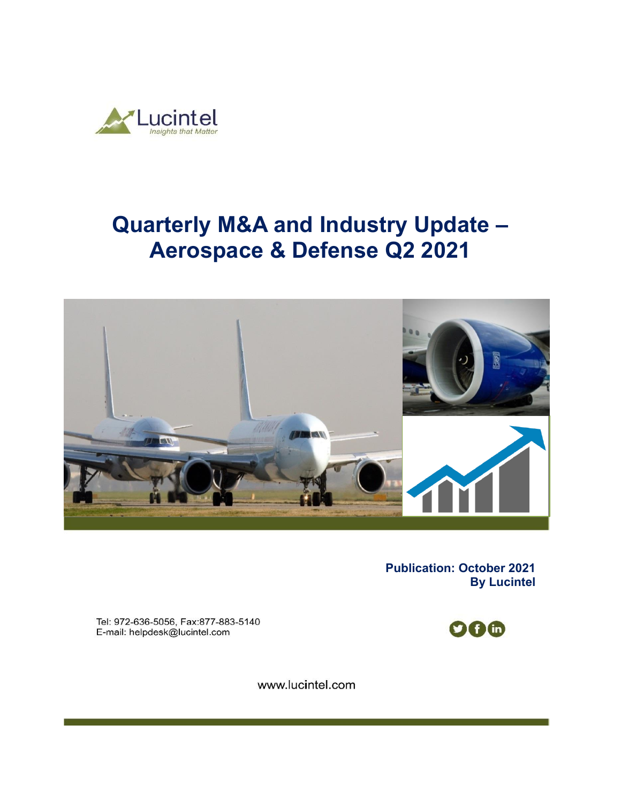

# **Quarterly M&A and Industry Update – Aerospace & Defense Q2 2021**



**Publication: October 2021 By Lucintel** 

Tel: 972-636-5056, Fax:877-883-5140 E-mail: helpdesk@lucintel.com

**006** 

www.lucintel.com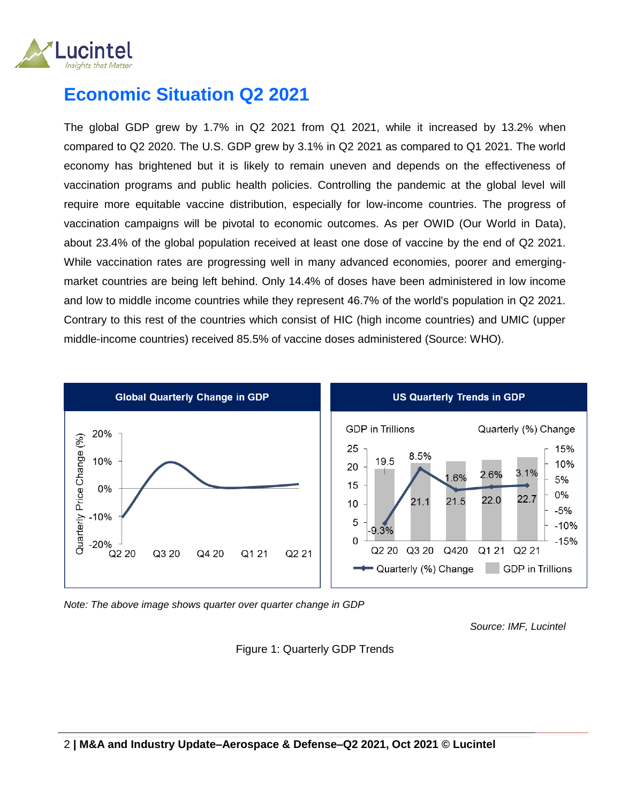

## **Economic Situation Q2 2021**

The global GDP grew by 1.7% in Q2 2021 from Q1 2021, while it increased by 13.2% when compared to Q2 2020. The U.S. GDP grew by 3.1% in Q2 2021 as compared to Q1 2021. The world economy has brightened but it is likely to remain uneven and depends on the effectiveness of vaccination programs and public health policies. Controlling the pandemic at the global level will require more equitable vaccine distribution, especially for low-income countries. The progress of vaccination campaigns will be pivotal to economic outcomes. As per OWID (Our World in Data), about 23.4% of the global population received at least one dose of vaccine by the end of Q2 2021. While vaccination rates are progressing well in many advanced economies, poorer and emergingmarket countries are being left behind. Only 14.4% of doses have been administered in low income and low to middle income countries while they represent 46.7% of the world's population in Q2 2021. Contrary to this rest of the countries which consist of HIC (high income countries) and UMIC (upper middle-income countries) received 85.5% of vaccine doses administered (Source: WHO).



*Note: The above image shows quarter over quarter change in GDP* 

*Source: IMF, Lucintel*

#### Figure 1: Quarterly GDP Trends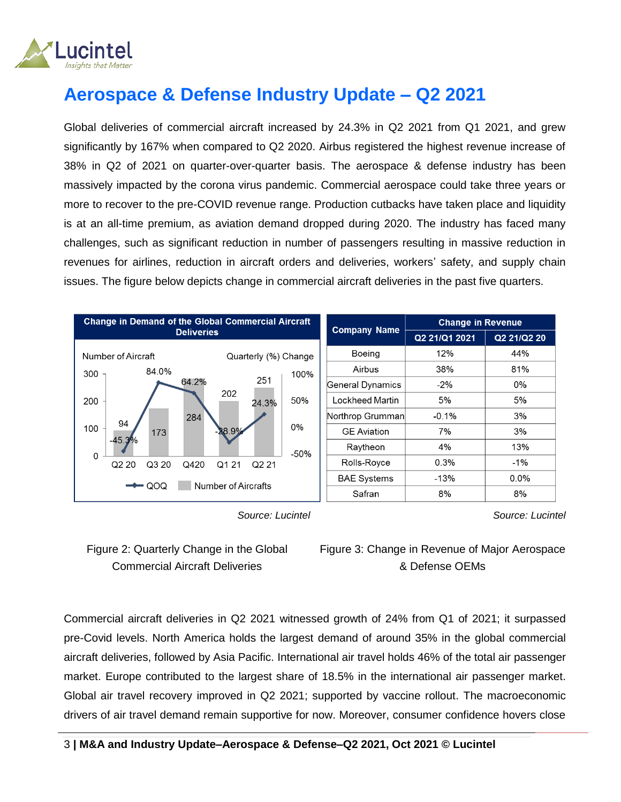

# **Aerospace & Defense Industry Update – Q2 2021**

Global deliveries of commercial aircraft increased by 24.3% in Q2 2021 from Q1 2021, and grew significantly by 167% when compared to Q2 2020. Airbus registered the highest revenue increase of 38% in Q2 of 2021 on quarter-over-quarter basis. The aerospace & defense industry has been massively impacted by the corona virus pandemic. Commercial aerospace could take three years or more to recover to the pre-COVID revenue range. Production cutbacks have taken place and liquidity is at an all-time premium, as aviation demand dropped during 2020. The industry has faced many challenges, such as significant reduction in number of passengers resulting in massive reduction in revenues for airlines, reduction in aircraft orders and deliveries, workers' safety, and supply chain issues. The figure below depicts change in commercial aircraft deliveries in the past five quarters.



 *Source: Lucintel*

*Source: Lucintel*



Figure 3: Change in Revenue of Major Aerospace & Defense OEMs

Commercial aircraft deliveries in Q2 2021 witnessed growth of 24% from Q1 of 2021; it surpassed pre-Covid levels. North America holds the largest demand of around 35% in the global commercial aircraft deliveries, followed by Asia Pacific. International air travel holds 46% of the total air passenger market. Europe contributed to the largest share of 18.5% in the international air passenger market. Global air travel recovery improved in Q2 2021; supported by vaccine rollout. The macroeconomic drivers of air travel demand remain supportive for now. Moreover, consumer confidence hovers close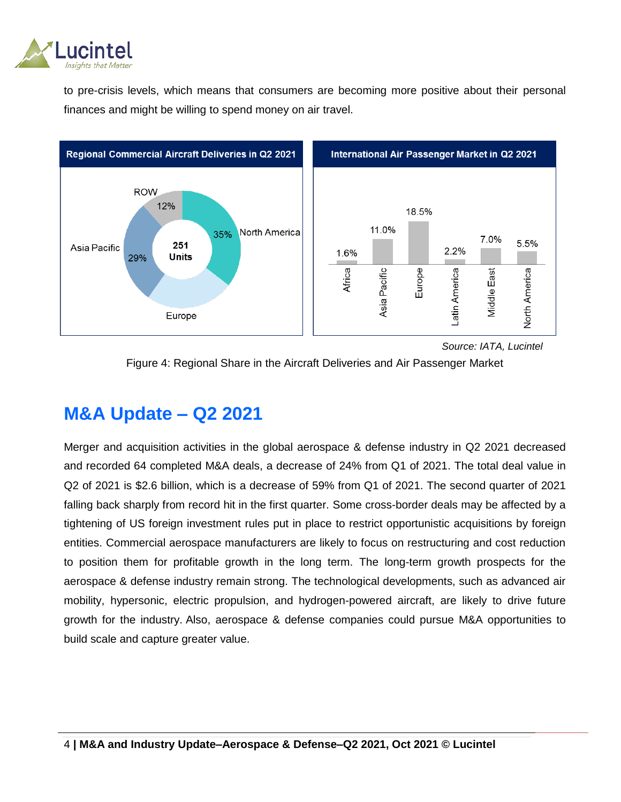

to pre-crisis levels, which means that consumers are becoming more positive about their personal finances and might be willing to spend money on air travel.



 *Source: IATA, Lucintel*



### **M&A Update – Q2 2021**

Merger and acquisition activities in the global aerospace & defense industry in Q2 2021 decreased and recorded 64 completed M&A deals, a decrease of 24% from Q1 of 2021. The total deal value in Q2 of 2021 is \$2.6 billion, which is a decrease of 59% from Q1 of 2021. The second quarter of 2021 falling back sharply from record hit in the first quarter. Some cross-border deals may be affected by a tightening of US foreign investment rules put in place to restrict opportunistic acquisitions by foreign entities. Commercial aerospace manufacturers are likely to focus on restructuring and cost reduction to position them for profitable growth in the long term. The long-term growth prospects for the aerospace & defense industry remain strong. The technological developments, such as advanced air mobility, hypersonic, electric propulsion, and hydrogen-powered aircraft, are likely to drive future growth for the industry. Also, aerospace & defense companies could pursue M&A opportunities to build scale and capture greater value.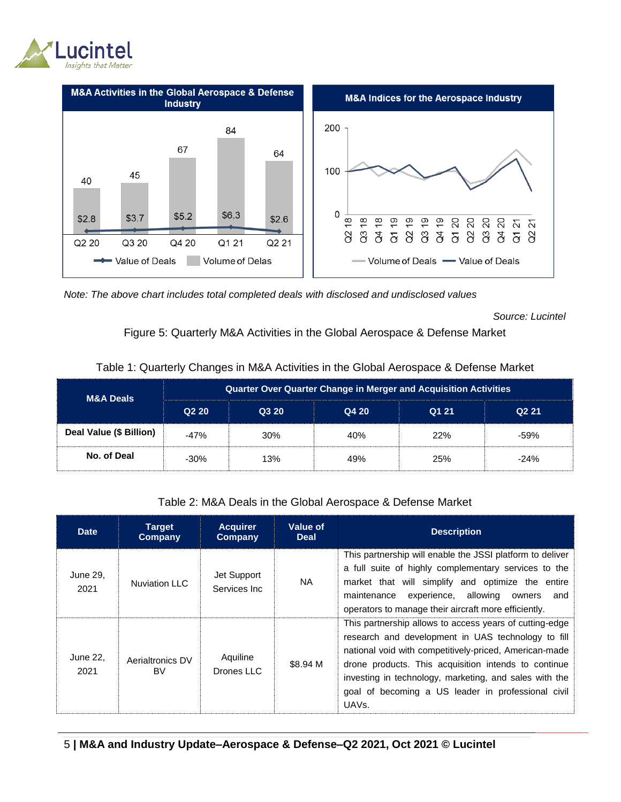



*Note: The above chart includes total completed deals with disclosed and undisclosed values*

*Source: Lucintel*

#### Figure 5: Quarterly M&A Activities in the Global Aerospace & Defense Market

| M&A Deals               | <b>Quarter Over Quarter Change in Merger and Acquisition Activities</b> |       |       |       |                   |  |  |  |
|-------------------------|-------------------------------------------------------------------------|-------|-------|-------|-------------------|--|--|--|
|                         | Q <sub>2</sub> 20                                                       | Q3 20 | Q4 20 | Q1 21 | Q <sub>2</sub> 21 |  |  |  |
| Deal Value (\$ Billion) | $-47%$                                                                  | 30%   | 40%   | 22%   | $-59%$            |  |  |  |
| No. of Deal             | $-30\%$                                                                 | 13%   | 49%   | 25%   | $-24%$            |  |  |  |

#### Table 1: Quarterly Changes in M&A Activities in the Global Aerospace & Defense Market

Table 2: M&A Deals in the Global Aerospace & Defense Market

| <b>Date</b>      | <b>Target</b><br>Company      | <b>Acquirer</b><br>Company   | Value of<br><b>Deal</b> | <b>Description</b>                                                                                                                                                                                                                                                                                                                                                    |
|------------------|-------------------------------|------------------------------|-------------------------|-----------------------------------------------------------------------------------------------------------------------------------------------------------------------------------------------------------------------------------------------------------------------------------------------------------------------------------------------------------------------|
| June 29,<br>2021 | <b>Nuviation LLC</b>          | Jet Support<br>Services Inc. | <b>NA</b>               | This partnership will enable the JSSI platform to deliver<br>a full suite of highly complementary services to the<br>market that will simplify and optimize the entire<br>experience, allowing<br>maintenance<br>owners<br>and<br>operators to manage their aircraft more efficiently.                                                                                |
| June 22,<br>2021 | Aerialtronics DV<br><b>BV</b> | Aquiline<br>Drones LLC       | \$8.94 M                | This partnership allows to access years of cutting-edge<br>research and development in UAS technology to fill<br>national void with competitively-priced, American-made<br>drone products. This acquisition intends to continue<br>investing in technology, marketing, and sales with the<br>goal of becoming a US leader in professional civil<br>UAV <sub>s</sub> . |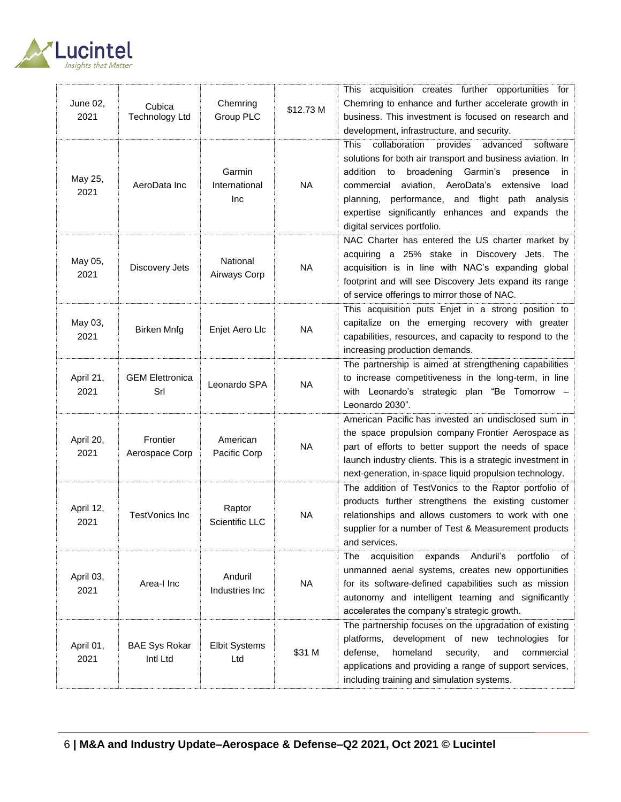

| June 02,<br>2021  | Cubica<br><b>Technology Ltd</b>  | Chemring<br>Group PLC          | \$12.73 M | This acquisition creates further opportunities for<br>Chemring to enhance and further accelerate growth in<br>business. This investment is focused on research and<br>development, infrastructure, and security.                                                                                                                                                                    |
|-------------------|----------------------------------|--------------------------------|-----------|-------------------------------------------------------------------------------------------------------------------------------------------------------------------------------------------------------------------------------------------------------------------------------------------------------------------------------------------------------------------------------------|
| May 25,<br>2021   | AeroData Inc                     | Garmin<br>International<br>Inc | <b>NA</b> | This<br>collaboration<br>provides<br>advanced<br>software<br>solutions for both air transport and business aviation. In<br>addition<br>broadening<br>Garmin's<br>to<br>presence<br>in<br>aviation, AeroData's extensive<br>commercial<br>load<br>planning, performance, and flight path analysis<br>expertise significantly enhances and expands the<br>digital services portfolio. |
| May 05,<br>2021   | Discovery Jets                   | National<br>Airways Corp       | <b>NA</b> | NAC Charter has entered the US charter market by<br>acquiring a 25% stake in Discovery Jets. The<br>acquisition is in line with NAC's expanding global<br>footprint and will see Discovery Jets expand its range<br>of service offerings to mirror those of NAC.                                                                                                                    |
| May 03,<br>2021   | <b>Birken Mnfg</b>               | Enjet Aero Llc                 | <b>NA</b> | This acquisition puts Enjet in a strong position to<br>capitalize on the emerging recovery with greater<br>capabilities, resources, and capacity to respond to the<br>increasing production demands.                                                                                                                                                                                |
| April 21,<br>2021 | <b>GEM Elettronica</b><br>Srl    | Leonardo SPA                   | <b>NA</b> | The partnership is aimed at strengthening capabilities<br>to increase competitiveness in the long-term, in line<br>with Leonardo's strategic plan "Be Tomorrow -<br>Leonardo 2030".                                                                                                                                                                                                 |
| April 20,<br>2021 | Frontier<br>Aerospace Corp       | American<br>Pacific Corp       | <b>NA</b> | American Pacific has invested an undisclosed sum in<br>the space propulsion company Frontier Aerospace as<br>part of efforts to better support the needs of space<br>launch industry clients. This is a strategic investment in<br>next-generation, in-space liquid propulsion technology.                                                                                          |
| April 12,<br>2021 | TestVonics Inc                   | Raptor<br>Scientific LLC       | <b>NA</b> | The addition of TestVonics to the Raptor portfolio of<br>products further strengthens the existing customer<br>relationships and allows customers to work with one<br>supplier for a number of Test & Measurement products<br>and services.                                                                                                                                         |
| April 03,<br>2021 | Area-I Inc                       | Anduril<br>Industries Inc      | <b>NA</b> | acquisition<br>expands Anduril's<br>portfolio<br>The<br>of<br>unmanned aerial systems, creates new opportunities<br>for its software-defined capabilities such as mission<br>autonomy and intelligent teaming and significantly<br>accelerates the company's strategic growth.                                                                                                      |
| April 01,<br>2021 | <b>BAE Sys Rokar</b><br>Intl Ltd | <b>Elbit Systems</b><br>Ltd    | \$31 M    | The partnership focuses on the upgradation of existing<br>development of new technologies for<br>platforms,<br>homeland<br>defense,<br>security,<br>and<br>commercial<br>applications and providing a range of support services,<br>including training and simulation systems.                                                                                                      |